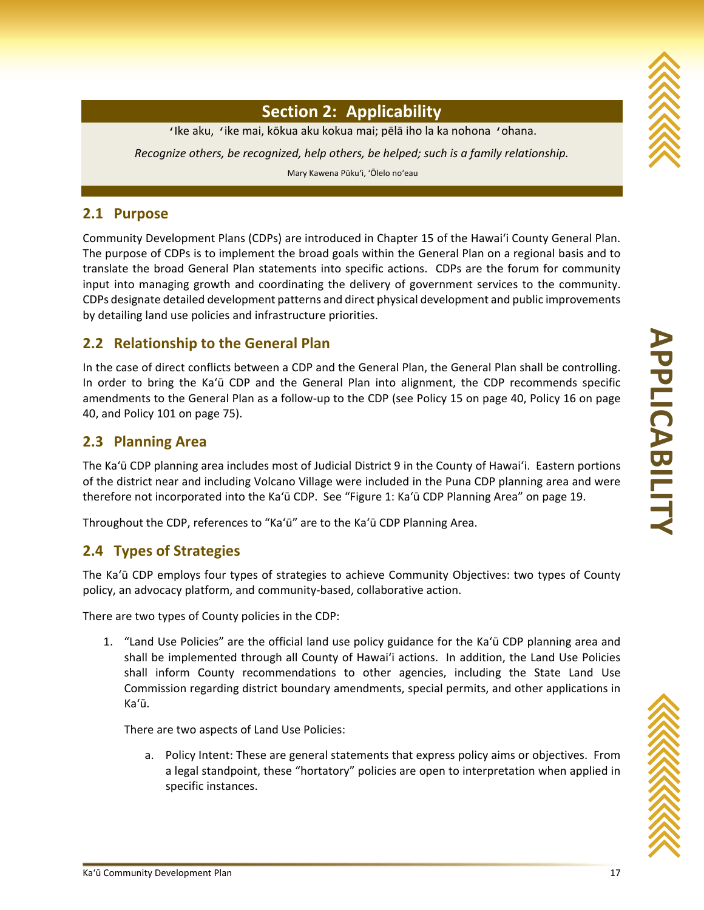

# **Section 2: Applicability**

ʻIke aku, ʻike mai, kōkua aku kokua mai; pēlā iho la ka nohona ʻohana.

*Recognize others, be recognized, help others, be helped; such is a family relationship.* 

Mary Kawena Pūku'i, 'Ōlelo no'eau

#### **2.1 Purpose**

Community Development Plans (CDPs) are introduced in Chapter 15 of the Hawai'i County General Plan. The purpose of CDPs is to implement the broad goals within the General Plan on a regional basis and to translate the broad General Plan statements into specific actions. CDPs are the forum for community input into managing growth and coordinating the delivery of government services to the community. CDPs designate detailed development patterns and direct physical development and public improvements by detailing land use policies and infrastructure priorities.

# **2.2 Relationship to the General Plan**

In the case of direct conflicts between a CDP and the General Plan, the General Plan shall be controlling. In order to bring the Ka'ū CDP and the General Plan into alignment, the CDP recommends specific amendments to the General Plan as a follow-up to the CDP (see Policy 15 on page 40, Policy 16 on page 40, and Policy 101 on page 75).

## **2.3 Planning Area**

The Ka'ū CDP planning area includes most of Judicial District 9 in the County of Hawai'i. Eastern portions of the district near and including Volcano Village were included in the Puna CDP planning area and were therefore not incorporated into the Ka'ū CDP. See "Figure 1: Ka'ū CDP Planning Area" on page 19.

Throughout the CDP, references to "Ka'ū" are to the Ka'ū CDP Planning Area.

# **2.4 Types of Strategies**

The Ka'ū CDP employs four types of strategies to achieve Community Objectives: two types of County policy, an advocacy platform, and community‐based, collaborative action.

There are two types of County policies in the CDP:

1. "Land Use Policies" are the official land use policy guidance for the Ka'ū CDP planning area and shall be implemented through all County of Hawai'i actions. In addition, the Land Use Policies shall inform County recommendations to other agencies, including the State Land Use Commission regarding district boundary amendments, special permits, and other applications in Ka'ū.

There are two aspects of Land Use Policies:

a. Policy Intent: These are general statements that express policy aims or objectives. From a legal standpoint, these "hortatory" policies are open to interpretation when applied in specific instances.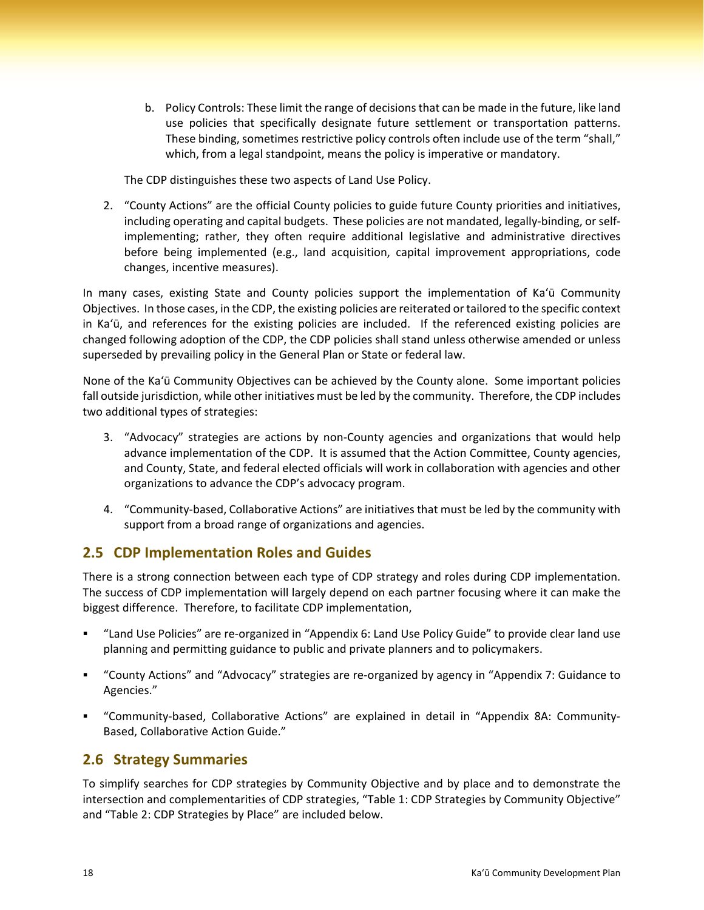b. Policy Controls: These limit the range of decisions that can be made in the future, like land use policies that specifically designate future settlement or transportation patterns. which, from a legal standpoint, means the policy is imperative or mandatory. These binding, sometimes restrictive policy controls often include use of the term "shall,"

The CDP distinguishes these two aspects of Land Use Policy.

 including operating and capital budgets. These policies are not mandated, legally‐binding, or self‐ before being implemented (e.g., land acquisition, capital improvement appropriations, code 2. "County Actions" are the official County policies to guide future County priorities and initiatives, implementing; rather, they often require additional legislative and administrative directives changes, incentive measures).

 Objectives. In those cases, in the CDP, the existing policies are reiterated or tailored to the specific context in Ka'ū, and references for the existing policies are included. If the referenced existing policies are In many cases, existing State and County policies support the implementation of Ka'ū Community changed following adoption of the CDP, the CDP policies shall stand unless otherwise amended or unless superseded by prevailing policy in the General Plan or State or federal law.

 None of the Ka'ū Community Objectives can be achieved by the County alone. Some important policies fall outside jurisdiction, while other initiatives must be led by the community. Therefore, the CDP includes two additional types of strategies:

- 3. "Advocacy" strategies are actions by non‐County agencies and organizations that would help advance implementation of the CDP. It is assumed that the Action Committee, County agencies, and County, State, and federal elected officials will work in collaboration with agencies and other organizations to advance the CDP's advocacy program.
- 4. "Community‐based, Collaborative Actions" are initiatives that must be led by the community with support from a broad range of organizations and agencies.

#### **2.5 CDP Implementation Roles and Guides**

 There is a strong connection between each type of CDP strategy and roles during CDP implementation. The success of CDP implementation will largely depend on each partner focusing where it can make the biggest difference. Therefore, to facilitate CDP implementation,

- "Land Use Policies" are re-organized in "Appendix 6: Land Use Policy Guide" to provide clear land use planning and permitting guidance to public and private planners and to policymakers.
- "County Actions" and "Advocacy" strategies are re-organized by agency in "Appendix 7: Guidance to Agencies."
- "Community‐based, Collaborative Actions" are explained in detail in "Appendix 8A: Community‐ Based, Collaborative Action Guide."

#### **2.6 Strategy Summaries**

 intersection and complementarities of CDP strategies, "Table 1: CDP Strategies by Community Objective" To simplify searches for CDP strategies by Community Objective and by place and to demonstrate the and "Table 2: CDP Strategies by Place" are included below.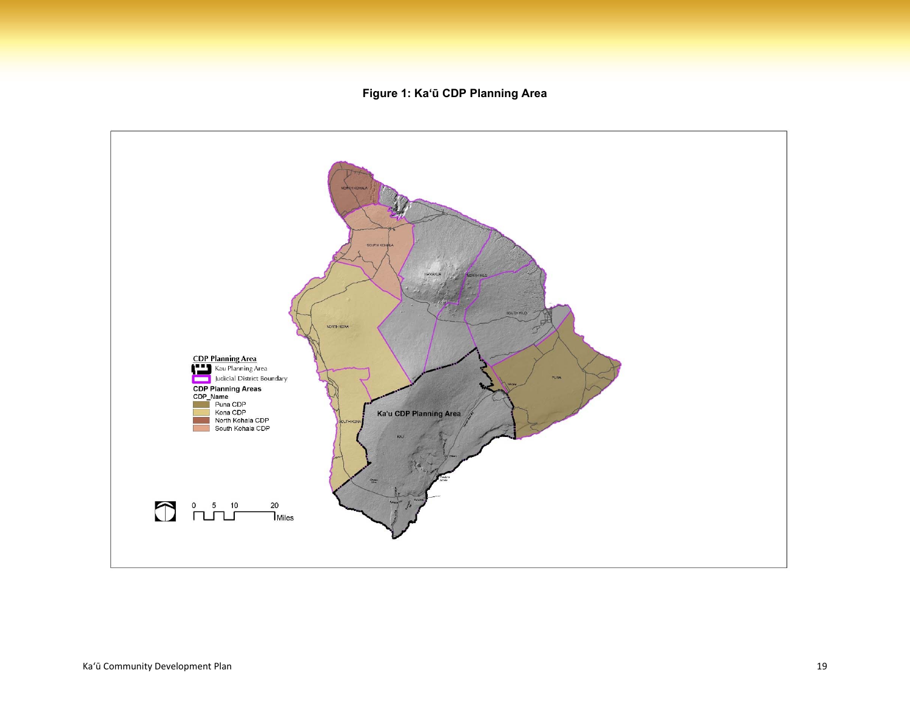**Figure 1: Ka'ū CDP Planning Area**

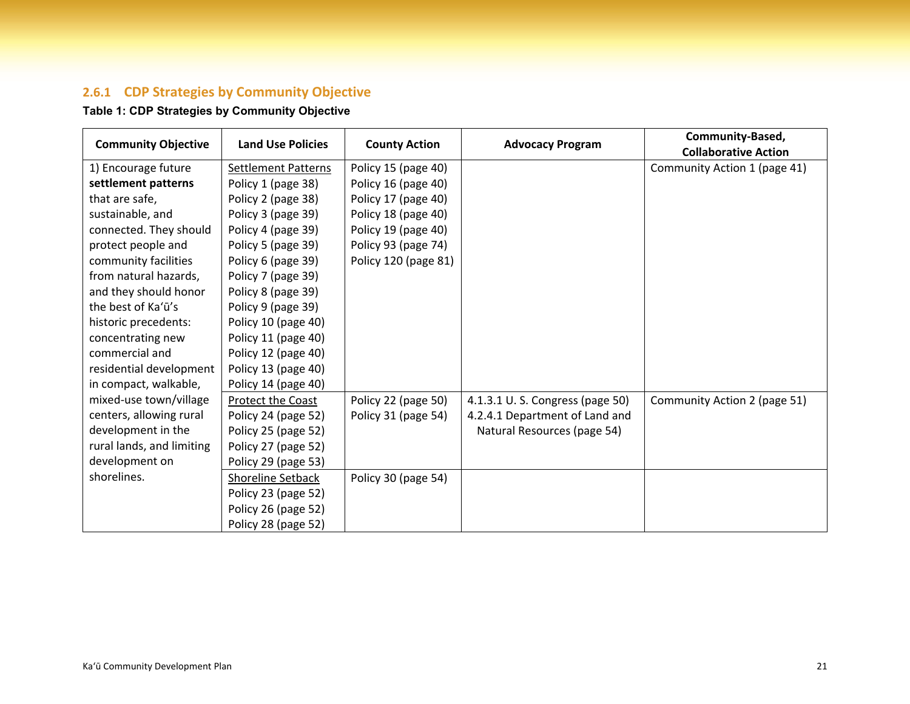#### **2.6.1 CDP Strategies by Community Objective**

## **Table 1: CDP Strategies by Community Objective**

|                            | <b>Land Use Policies</b>   |                      |                                 | Community-Based,             |
|----------------------------|----------------------------|----------------------|---------------------------------|------------------------------|
| <b>Community Objective</b> |                            | <b>County Action</b> | <b>Advocacy Program</b>         | <b>Collaborative Action</b>  |
| 1) Encourage future        | <b>Settlement Patterns</b> | Policy 15 (page 40)  |                                 | Community Action 1 (page 41) |
| settlement patterns        | Policy 1 (page 38)         | Policy 16 (page 40)  |                                 |                              |
| that are safe,             | Policy 2 (page 38)         | Policy 17 (page 40)  |                                 |                              |
| sustainable, and           | Policy 3 (page 39)         | Policy 18 (page 40)  |                                 |                              |
| connected. They should     | Policy 4 (page 39)         | Policy 19 (page 40)  |                                 |                              |
| protect people and         | Policy 5 (page 39)         | Policy 93 (page 74)  |                                 |                              |
| community facilities       | Policy 6 (page 39)         | Policy 120 (page 81) |                                 |                              |
| from natural hazards,      | Policy 7 (page 39)         |                      |                                 |                              |
| and they should honor      | Policy 8 (page 39)         |                      |                                 |                              |
| the best of Ka'ū's         | Policy 9 (page 39)         |                      |                                 |                              |
| historic precedents:       | Policy 10 (page 40)        |                      |                                 |                              |
| concentrating new          | Policy 11 (page 40)        |                      |                                 |                              |
| commercial and             | Policy 12 (page 40)        |                      |                                 |                              |
| residential development    | Policy 13 (page 40)        |                      |                                 |                              |
| in compact, walkable,      | Policy 14 (page 40)        |                      |                                 |                              |
| mixed-use town/village     | Protect the Coast          | Policy 22 (page 50)  | 4.1.3.1 U.S. Congress (page 50) | Community Action 2 (page 51) |
| centers, allowing rural    | Policy 24 (page 52)        | Policy 31 (page 54)  | 4.2.4.1 Department of Land and  |                              |
| development in the         | Policy 25 (page 52)        |                      | Natural Resources (page 54)     |                              |
| rural lands, and limiting  | Policy 27 (page 52)        |                      |                                 |                              |
| development on             | Policy 29 (page 53)        |                      |                                 |                              |
| shorelines.                | Shoreline Setback          | Policy 30 (page 54)  |                                 |                              |
|                            | Policy 23 (page 52)        |                      |                                 |                              |
|                            | Policy 26 (page 52)        |                      |                                 |                              |
|                            | Policy 28 (page 52)        |                      |                                 |                              |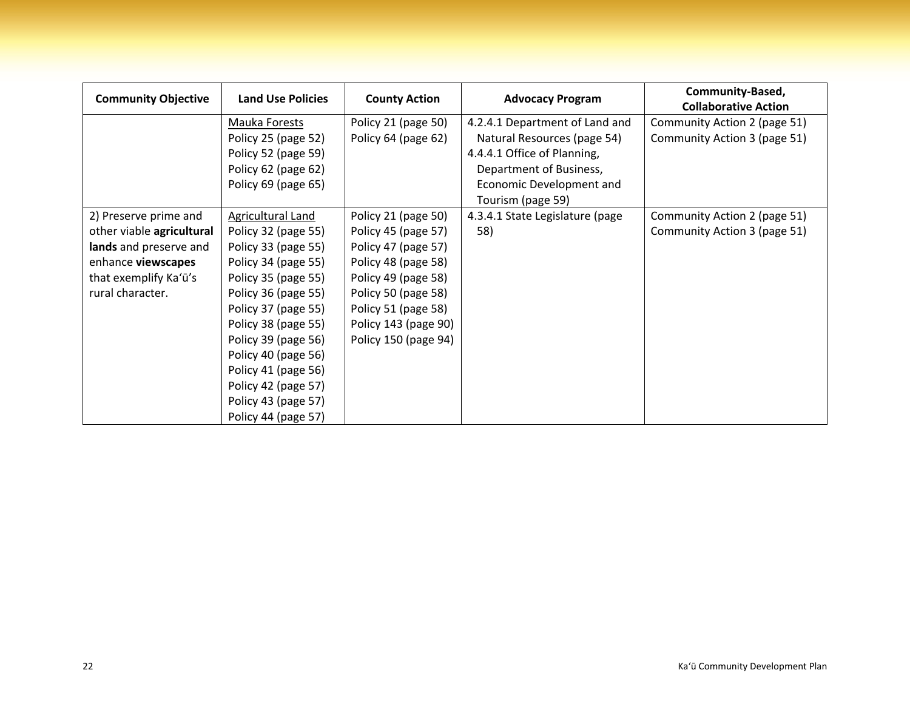| <b>Community Objective</b> | <b>Land Use Policies</b> | <b>County Action</b> | <b>Advocacy Program</b>         | Community-Based,             |
|----------------------------|--------------------------|----------------------|---------------------------------|------------------------------|
|                            |                          |                      | 4.2.4.1 Department of Land and  | <b>Collaborative Action</b>  |
|                            | Mauka Forests            | Policy 21 (page 50)  |                                 | Community Action 2 (page 51) |
|                            | Policy 25 (page 52)      | Policy 64 (page 62)  | Natural Resources (page 54)     | Community Action 3 (page 51) |
|                            | Policy 52 (page 59)      |                      | 4.4.4.1 Office of Planning,     |                              |
|                            | Policy 62 (page 62)      |                      | Department of Business,         |                              |
|                            | Policy 69 (page 65)      |                      | Economic Development and        |                              |
|                            |                          |                      | Tourism (page 59)               |                              |
| 2) Preserve prime and      | Agricultural Land        | Policy 21 (page 50)  | 4.3.4.1 State Legislature (page | Community Action 2 (page 51) |
| other viable agricultural  | Policy 32 (page 55)      | Policy 45 (page 57)  | 58)                             | Community Action 3 (page 51) |
| lands and preserve and     | Policy 33 (page 55)      | Policy 47 (page 57)  |                                 |                              |
| enhance viewscapes         | Policy 34 (page 55)      | Policy 48 (page 58)  |                                 |                              |
| that exemplify Ka'ū's      | Policy 35 (page 55)      | Policy 49 (page 58)  |                                 |                              |
| rural character.           | Policy 36 (page 55)      | Policy 50 (page 58)  |                                 |                              |
|                            | Policy 37 (page 55)      | Policy 51 (page 58)  |                                 |                              |
|                            | Policy 38 (page 55)      | Policy 143 (page 90) |                                 |                              |
|                            | Policy 39 (page 56)      | Policy 150 (page 94) |                                 |                              |
|                            | Policy 40 (page 56)      |                      |                                 |                              |
|                            | Policy 41 (page 56)      |                      |                                 |                              |
|                            | Policy 42 (page 57)      |                      |                                 |                              |
|                            | Policy 43 (page 57)      |                      |                                 |                              |
|                            | Policy 44 (page 57)      |                      |                                 |                              |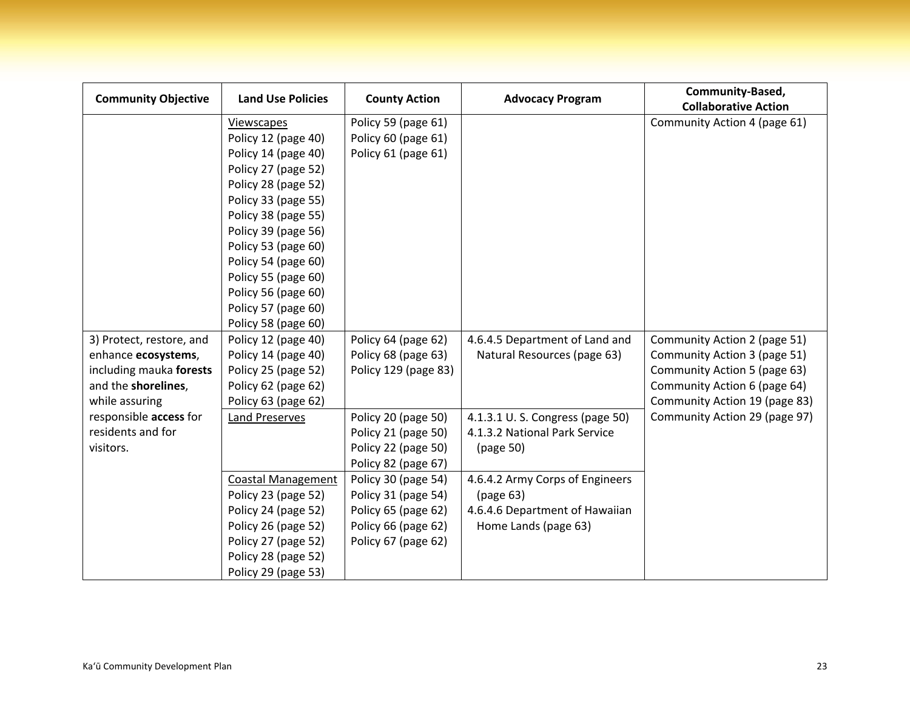| <b>Community Objective</b> | <b>Land Use Policies</b>  | <b>County Action</b> | <b>Advocacy Program</b>         | Community-Based,              |
|----------------------------|---------------------------|----------------------|---------------------------------|-------------------------------|
|                            |                           |                      |                                 | <b>Collaborative Action</b>   |
|                            | Viewscapes                | Policy 59 (page 61)  |                                 | Community Action 4 (page 61)  |
|                            | Policy 12 (page 40)       | Policy 60 (page 61)  |                                 |                               |
|                            | Policy 14 (page 40)       | Policy 61 (page 61)  |                                 |                               |
|                            | Policy 27 (page 52)       |                      |                                 |                               |
|                            | Policy 28 (page 52)       |                      |                                 |                               |
|                            | Policy 33 (page 55)       |                      |                                 |                               |
|                            | Policy 38 (page 55)       |                      |                                 |                               |
|                            | Policy 39 (page 56)       |                      |                                 |                               |
|                            | Policy 53 (page 60)       |                      |                                 |                               |
|                            | Policy 54 (page 60)       |                      |                                 |                               |
|                            | Policy 55 (page 60)       |                      |                                 |                               |
|                            | Policy 56 (page 60)       |                      |                                 |                               |
|                            | Policy 57 (page 60)       |                      |                                 |                               |
|                            | Policy 58 (page 60)       |                      |                                 |                               |
| 3) Protect, restore, and   | Policy 12 (page 40)       | Policy 64 (page 62)  | 4.6.4.5 Department of Land and  | Community Action 2 (page 51)  |
| enhance ecosystems,        | Policy 14 (page 40)       | Policy 68 (page 63)  | Natural Resources (page 63)     | Community Action 3 (page 51)  |
| including mauka forests    | Policy 25 (page 52)       | Policy 129 (page 83) |                                 | Community Action 5 (page 63)  |
| and the shorelines,        | Policy 62 (page 62)       |                      |                                 | Community Action 6 (page 64)  |
| while assuring             | Policy 63 (page 62)       |                      |                                 | Community Action 19 (page 83) |
| responsible access for     | Land Preserves            | Policy 20 (page 50)  | 4.1.3.1 U.S. Congress (page 50) | Community Action 29 (page 97) |
| residents and for          |                           | Policy 21 (page 50)  | 4.1.3.2 National Park Service   |                               |
| visitors.                  |                           | Policy 22 (page 50)  | (page 50)                       |                               |
|                            |                           | Policy 82 (page 67)  |                                 |                               |
|                            | <b>Coastal Management</b> | Policy 30 (page 54)  | 4.6.4.2 Army Corps of Engineers |                               |
|                            | Policy 23 (page 52)       | Policy 31 (page 54)  | (page 63)                       |                               |
|                            | Policy 24 (page 52)       | Policy 65 (page 62)  | 4.6.4.6 Department of Hawaiian  |                               |
|                            | Policy 26 (page 52)       | Policy 66 (page 62)  | Home Lands (page 63)            |                               |
|                            | Policy 27 (page 52)       | Policy 67 (page 62)  |                                 |                               |
|                            | Policy 28 (page 52)       |                      |                                 |                               |
|                            | Policy 29 (page 53)       |                      |                                 |                               |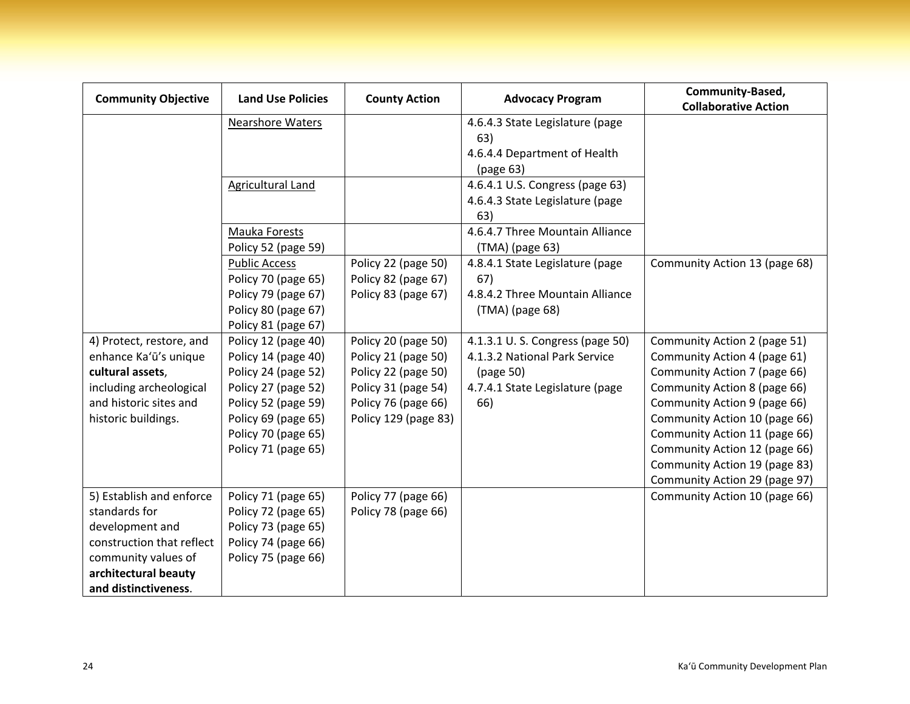| <b>Community Objective</b> | <b>Land Use Policies</b> |                      | <b>County Action</b><br><b>Advocacy Program</b> | Community-Based,              |
|----------------------------|--------------------------|----------------------|-------------------------------------------------|-------------------------------|
|                            |                          |                      |                                                 | <b>Collaborative Action</b>   |
|                            | <b>Nearshore Waters</b>  |                      | 4.6.4.3 State Legislature (page                 |                               |
|                            |                          |                      | 63)                                             |                               |
|                            |                          |                      | 4.6.4.4 Department of Health                    |                               |
|                            |                          |                      | (page 63)                                       |                               |
|                            | <b>Agricultural Land</b> |                      | 4.6.4.1 U.S. Congress (page 63)                 |                               |
|                            |                          |                      | 4.6.4.3 State Legislature (page                 |                               |
|                            |                          |                      | 63)                                             |                               |
|                            | Mauka Forests            |                      | 4.6.4.7 Three Mountain Alliance                 |                               |
|                            | Policy 52 (page 59)      |                      | (TMA) (page 63)                                 |                               |
|                            | <b>Public Access</b>     | Policy 22 (page 50)  | 4.8.4.1 State Legislature (page                 | Community Action 13 (page 68) |
|                            | Policy 70 (page 65)      | Policy 82 (page 67)  | 67)                                             |                               |
|                            | Policy 79 (page 67)      | Policy 83 (page 67)  | 4.8.4.2 Three Mountain Alliance                 |                               |
|                            | Policy 80 (page 67)      |                      | (TMA) (page 68)                                 |                               |
|                            | Policy 81 (page 67)      |                      |                                                 |                               |
| 4) Protect, restore, and   | Policy 12 (page 40)      | Policy 20 (page 50)  | 4.1.3.1 U.S. Congress (page 50)                 | Community Action 2 (page 51)  |
| enhance Ka'ū's unique      | Policy 14 (page 40)      | Policy 21 (page 50)  | 4.1.3.2 National Park Service                   | Community Action 4 (page 61)  |
| cultural assets,           | Policy 24 (page 52)      | Policy 22 (page 50)  | (page 50)                                       | Community Action 7 (page 66)  |
| including archeological    | Policy 27 (page 52)      | Policy 31 (page 54)  | 4.7.4.1 State Legislature (page                 | Community Action 8 (page 66)  |
| and historic sites and     | Policy 52 (page 59)      | Policy 76 (page 66)  | 66)                                             | Community Action 9 (page 66)  |
| historic buildings.        | Policy 69 (page 65)      | Policy 129 (page 83) |                                                 | Community Action 10 (page 66) |
|                            | Policy 70 (page 65)      |                      |                                                 | Community Action 11 (page 66) |
|                            | Policy 71 (page 65)      |                      |                                                 | Community Action 12 (page 66) |
|                            |                          |                      |                                                 | Community Action 19 (page 83) |
|                            |                          |                      |                                                 | Community Action 29 (page 97) |
| 5) Establish and enforce   | Policy 71 (page 65)      | Policy 77 (page 66)  |                                                 | Community Action 10 (page 66) |
| standards for              | Policy 72 (page 65)      | Policy 78 (page 66)  |                                                 |                               |
| development and            | Policy 73 (page 65)      |                      |                                                 |                               |
| construction that reflect  | Policy 74 (page 66)      |                      |                                                 |                               |
| community values of        | Policy 75 (page 66)      |                      |                                                 |                               |
| architectural beauty       |                          |                      |                                                 |                               |
| and distinctiveness.       |                          |                      |                                                 |                               |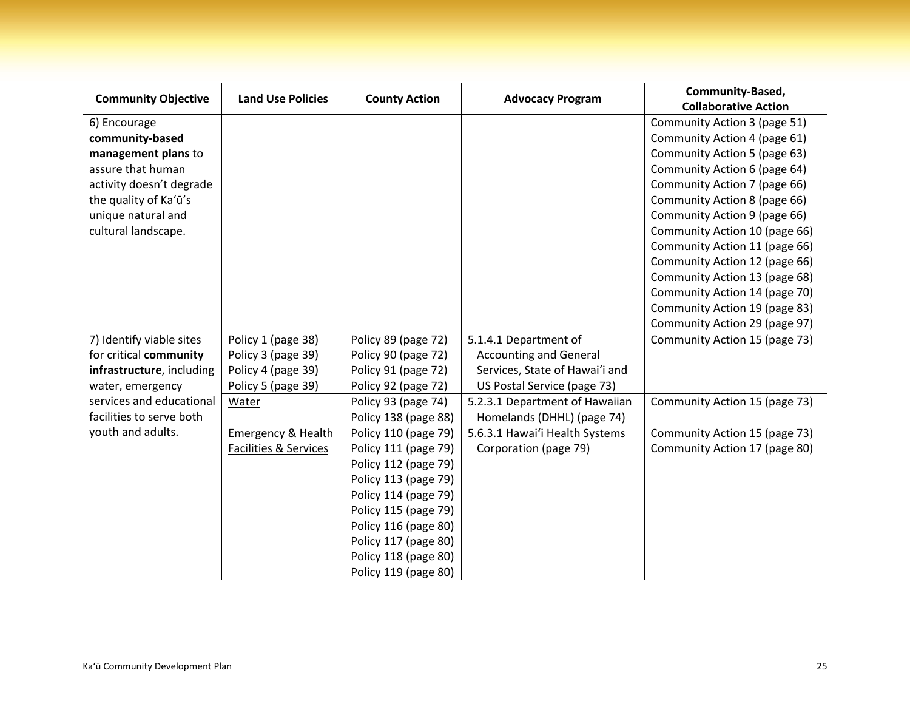|                            | <b>Land Use Policies</b>      |                      |                                | Community-Based,              |
|----------------------------|-------------------------------|----------------------|--------------------------------|-------------------------------|
| <b>Community Objective</b> |                               | <b>County Action</b> | <b>Advocacy Program</b>        | <b>Collaborative Action</b>   |
| 6) Encourage               |                               |                      |                                | Community Action 3 (page 51)  |
| community-based            |                               |                      |                                | Community Action 4 (page 61)  |
| management plans to        |                               |                      |                                | Community Action 5 (page 63)  |
| assure that human          |                               |                      |                                | Community Action 6 (page 64)  |
| activity doesn't degrade   |                               |                      |                                | Community Action 7 (page 66)  |
| the quality of Ka'ū's      |                               |                      |                                | Community Action 8 (page 66)  |
| unique natural and         |                               |                      |                                | Community Action 9 (page 66)  |
| cultural landscape.        |                               |                      |                                | Community Action 10 (page 66) |
|                            |                               |                      |                                | Community Action 11 (page 66) |
|                            |                               |                      |                                | Community Action 12 (page 66) |
|                            |                               |                      |                                | Community Action 13 (page 68) |
|                            |                               |                      |                                | Community Action 14 (page 70) |
|                            |                               |                      |                                | Community Action 19 (page 83) |
|                            |                               |                      |                                | Community Action 29 (page 97) |
| 7) Identify viable sites   | Policy 1 (page 38)            | Policy 89 (page 72)  | 5.1.4.1 Department of          | Community Action 15 (page 73) |
| for critical community     | Policy 3 (page 39)            | Policy 90 (page 72)  | <b>Accounting and General</b>  |                               |
| infrastructure, including  | Policy 4 (page 39)            | Policy 91 (page 72)  | Services, State of Hawai'i and |                               |
| water, emergency           | Policy 5 (page 39)            | Policy 92 (page 72)  | US Postal Service (page 73)    |                               |
| services and educational   | Water                         | Policy 93 (page 74)  | 5.2.3.1 Department of Hawaiian | Community Action 15 (page 73) |
| facilities to serve both   |                               | Policy 138 (page 88) | Homelands (DHHL) (page 74)     |                               |
| youth and adults.          | <b>Emergency &amp; Health</b> | Policy 110 (page 79) | 5.6.3.1 Hawai'i Health Systems | Community Action 15 (page 73) |
|                            | Facilities & Services         | Policy 111 (page 79) | Corporation (page 79)          | Community Action 17 (page 80) |
|                            |                               | Policy 112 (page 79) |                                |                               |
|                            |                               | Policy 113 (page 79) |                                |                               |
|                            |                               | Policy 114 (page 79) |                                |                               |
|                            |                               | Policy 115 (page 79) |                                |                               |
|                            |                               | Policy 116 (page 80) |                                |                               |
|                            |                               | Policy 117 (page 80) |                                |                               |
|                            |                               | Policy 118 (page 80) |                                |                               |
|                            |                               | Policy 119 (page 80) |                                |                               |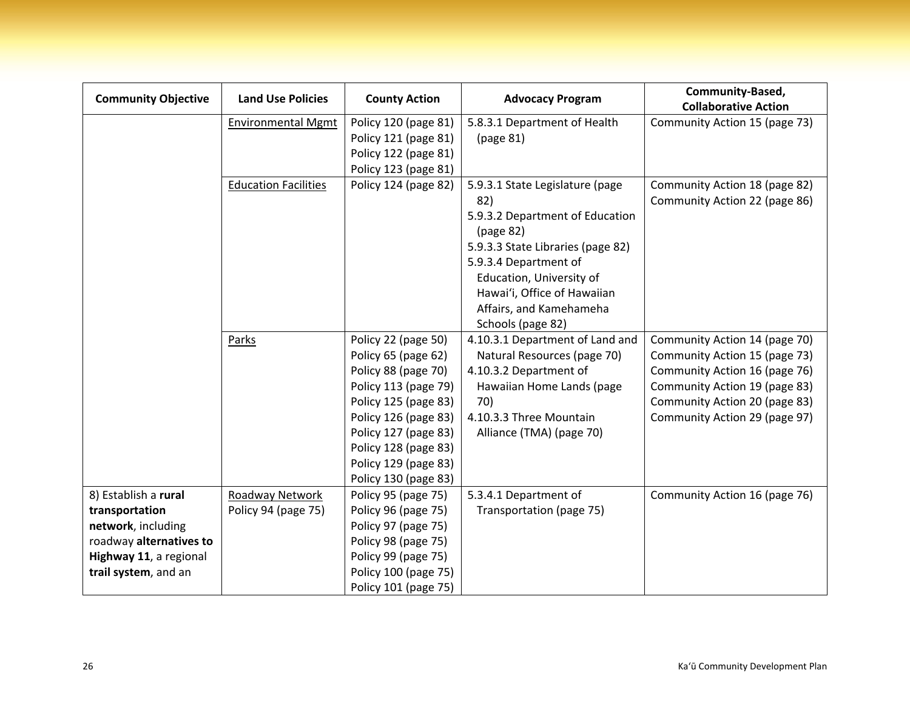| <b>Community Objective</b> | <b>Land Use Policies</b>    | <b>County Action</b> | <b>Advocacy Program</b>           | Community-Based,              |
|----------------------------|-----------------------------|----------------------|-----------------------------------|-------------------------------|
|                            |                             |                      |                                   | <b>Collaborative Action</b>   |
|                            | <b>Environmental Mgmt</b>   | Policy 120 (page 81) | 5.8.3.1 Department of Health      | Community Action 15 (page 73) |
|                            |                             | Policy 121 (page 81) | (page 81)                         |                               |
|                            |                             | Policy 122 (page 81) |                                   |                               |
|                            |                             | Policy 123 (page 81) |                                   |                               |
|                            | <b>Education Facilities</b> | Policy 124 (page 82) | 5.9.3.1 State Legislature (page   | Community Action 18 (page 82) |
|                            |                             |                      | 82)                               | Community Action 22 (page 86) |
|                            |                             |                      | 5.9.3.2 Department of Education   |                               |
|                            |                             |                      | (page 82)                         |                               |
|                            |                             |                      | 5.9.3.3 State Libraries (page 82) |                               |
|                            |                             |                      | 5.9.3.4 Department of             |                               |
|                            |                             |                      | Education, University of          |                               |
|                            |                             |                      | Hawai'i, Office of Hawaiian       |                               |
|                            |                             |                      | Affairs, and Kamehameha           |                               |
|                            |                             |                      | Schools (page 82)                 |                               |
|                            | Parks                       | Policy 22 (page 50)  | 4.10.3.1 Department of Land and   | Community Action 14 (page 70) |
|                            |                             | Policy 65 (page 62)  | Natural Resources (page 70)       | Community Action 15 (page 73) |
|                            |                             | Policy 88 (page 70)  | 4.10.3.2 Department of            | Community Action 16 (page 76) |
|                            |                             | Policy 113 (page 79) | Hawaiian Home Lands (page         | Community Action 19 (page 83) |
|                            |                             | Policy 125 (page 83) | 70)                               | Community Action 20 (page 83) |
|                            |                             | Policy 126 (page 83) | 4.10.3.3 Three Mountain           | Community Action 29 (page 97) |
|                            |                             | Policy 127 (page 83) | Alliance (TMA) (page 70)          |                               |
|                            |                             | Policy 128 (page 83) |                                   |                               |
|                            |                             | Policy 129 (page 83) |                                   |                               |
|                            |                             | Policy 130 (page 83) |                                   |                               |
| 8) Establish a rural       | Roadway Network             | Policy 95 (page 75)  | 5.3.4.1 Department of             | Community Action 16 (page 76) |
| transportation             | Policy 94 (page 75)         | Policy 96 (page 75)  | Transportation (page 75)          |                               |
| network, including         |                             | Policy 97 (page 75)  |                                   |                               |
| roadway alternatives to    |                             | Policy 98 (page 75)  |                                   |                               |
| Highway 11, a regional     |                             | Policy 99 (page 75)  |                                   |                               |
| trail system, and an       |                             | Policy 100 (page 75) |                                   |                               |
|                            |                             | Policy 101 (page 75) |                                   |                               |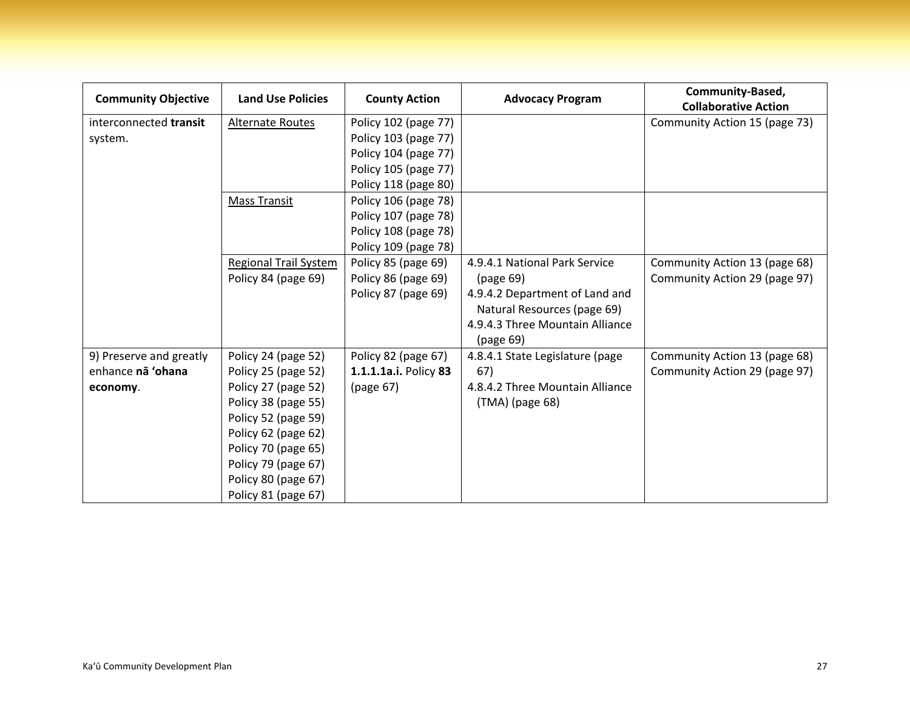| <b>Community Objective</b> | <b>Land Use Policies</b>     | <b>County Action</b>  | <b>Advocacy Program</b>         | Community-Based,<br><b>Collaborative Action</b> |
|----------------------------|------------------------------|-----------------------|---------------------------------|-------------------------------------------------|
| interconnected transit     | <b>Alternate Routes</b>      | Policy 102 (page 77)  |                                 | Community Action 15 (page 73)                   |
| system.                    |                              | Policy 103 (page 77)  |                                 |                                                 |
|                            |                              | Policy 104 (page 77)  |                                 |                                                 |
|                            |                              | Policy 105 (page 77)  |                                 |                                                 |
|                            |                              | Policy 118 (page 80)  |                                 |                                                 |
|                            | <b>Mass Transit</b>          | Policy 106 (page 78)  |                                 |                                                 |
|                            |                              | Policy 107 (page 78)  |                                 |                                                 |
|                            |                              | Policy 108 (page 78)  |                                 |                                                 |
|                            |                              | Policy 109 (page 78)  |                                 |                                                 |
|                            | <b>Regional Trail System</b> | Policy 85 (page 69)   | 4.9.4.1 National Park Service   | Community Action 13 (page 68)                   |
|                            | Policy 84 (page 69)          | Policy 86 (page 69)   | (page 69)                       | Community Action 29 (page 97)                   |
|                            |                              | Policy 87 (page 69)   | 4.9.4.2 Department of Land and  |                                                 |
|                            |                              |                       | Natural Resources (page 69)     |                                                 |
|                            |                              |                       | 4.9.4.3 Three Mountain Alliance |                                                 |
|                            |                              |                       | (page 69)                       |                                                 |
| 9) Preserve and greatly    | Policy 24 (page 52)          | Policy 82 (page 67)   | 4.8.4.1 State Legislature (page | Community Action 13 (page 68)                   |
| enhance na 'ohana          | Policy 25 (page 52)          | 1.1.1.1a.i. Policy 83 | 67)                             | Community Action 29 (page 97)                   |
| economy.                   | Policy 27 (page 52)          | (page 67)             | 4.8.4.2 Three Mountain Alliance |                                                 |
|                            | Policy 38 (page 55)          |                       | (TMA) (page 68)                 |                                                 |
|                            | Policy 52 (page 59)          |                       |                                 |                                                 |
|                            | Policy 62 (page 62)          |                       |                                 |                                                 |
|                            | Policy 70 (page 65)          |                       |                                 |                                                 |
|                            | Policy 79 (page 67)          |                       |                                 |                                                 |
|                            | Policy 80 (page 67)          |                       |                                 |                                                 |
|                            | Policy 81 (page 67)          |                       |                                 |                                                 |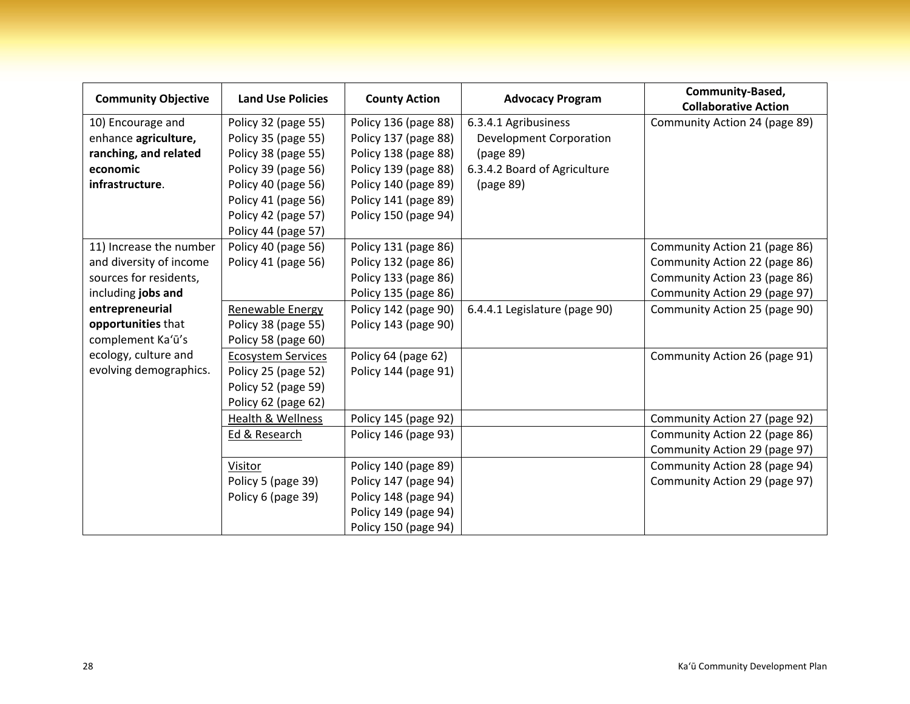| <b>Community Objective</b> | <b>Land Use Policies</b>  | <b>County Action</b> | <b>Advocacy Program</b>        | Community-Based,<br><b>Collaborative Action</b> |
|----------------------------|---------------------------|----------------------|--------------------------------|-------------------------------------------------|
| 10) Encourage and          | Policy 32 (page 55)       | Policy 136 (page 88) | 6.3.4.1 Agribusiness           | Community Action 24 (page 89)                   |
| enhance agriculture,       | Policy 35 (page 55)       | Policy 137 (page 88) | <b>Development Corporation</b> |                                                 |
| ranching, and related      | Policy 38 (page 55)       | Policy 138 (page 88) | (page 89)                      |                                                 |
| economic                   | Policy 39 (page 56)       | Policy 139 (page 88) | 6.3.4.2 Board of Agriculture   |                                                 |
| infrastructure.            | Policy 40 (page 56)       | Policy 140 (page 89) | (page 89)                      |                                                 |
|                            | Policy 41 (page 56)       | Policy 141 (page 89) |                                |                                                 |
|                            | Policy 42 (page 57)       | Policy 150 (page 94) |                                |                                                 |
|                            | Policy 44 (page 57)       |                      |                                |                                                 |
| 11) Increase the number    | Policy 40 (page 56)       | Policy 131 (page 86) |                                | Community Action 21 (page 86)                   |
| and diversity of income    | Policy 41 (page 56)       | Policy 132 (page 86) |                                | Community Action 22 (page 86)                   |
| sources for residents,     |                           | Policy 133 (page 86) |                                | Community Action 23 (page 86)                   |
| including jobs and         |                           | Policy 135 (page 86) |                                | Community Action 29 (page 97)                   |
| entrepreneurial            | Renewable Energy          | Policy 142 (page 90) | 6.4.4.1 Legislature (page 90)  | Community Action 25 (page 90)                   |
| opportunities that         | Policy 38 (page 55)       | Policy 143 (page 90) |                                |                                                 |
| complement Ka'ū's          | Policy 58 (page 60)       |                      |                                |                                                 |
| ecology, culture and       | <b>Ecosystem Services</b> | Policy 64 (page 62)  |                                | Community Action 26 (page 91)                   |
| evolving demographics.     | Policy 25 (page 52)       | Policy 144 (page 91) |                                |                                                 |
|                            | Policy 52 (page 59)       |                      |                                |                                                 |
|                            | Policy 62 (page 62)       |                      |                                |                                                 |
|                            | Health & Wellness         | Policy 145 (page 92) |                                | Community Action 27 (page 92)                   |
|                            | Ed & Research             | Policy 146 (page 93) |                                | Community Action 22 (page 86)                   |
|                            |                           |                      |                                | Community Action 29 (page 97)                   |
|                            | Visitor                   | Policy 140 (page 89) |                                | Community Action 28 (page 94)                   |
|                            | Policy 5 (page 39)        | Policy 147 (page 94) |                                | Community Action 29 (page 97)                   |
|                            | Policy 6 (page 39)        | Policy 148 (page 94) |                                |                                                 |
|                            |                           | Policy 149 (page 94) |                                |                                                 |
|                            |                           | Policy 150 (page 94) |                                |                                                 |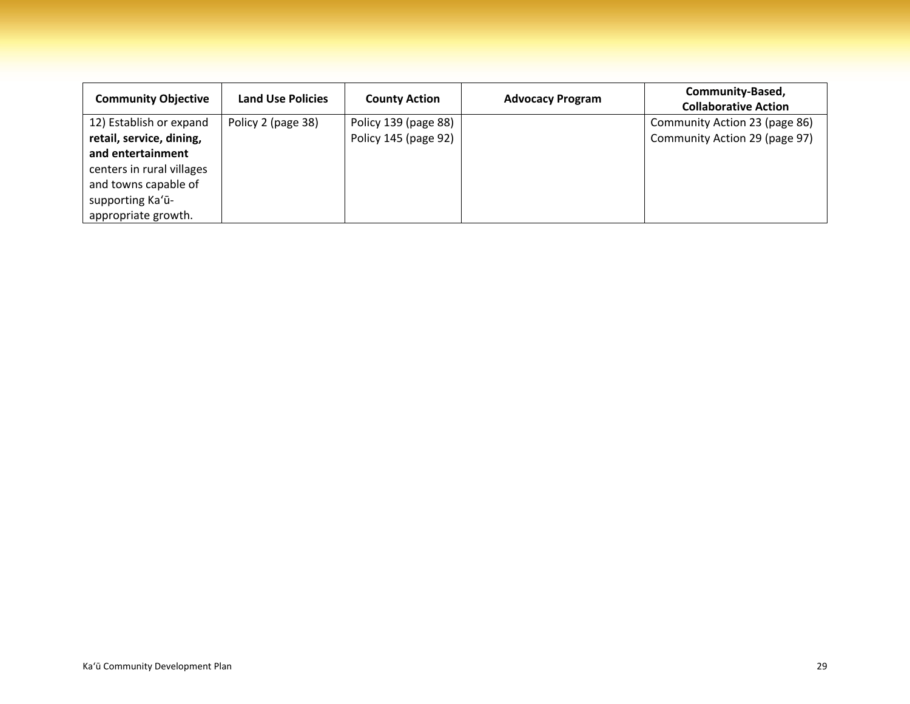| <b>Community Objective</b> | <b>Land Use Policies</b> | <b>County Action</b> | <b>Advocacy Program</b> | Community-Based,<br><b>Collaborative Action</b> |
|----------------------------|--------------------------|----------------------|-------------------------|-------------------------------------------------|
| 12) Establish or expand    | Policy 2 (page 38)       | Policy 139 (page 88) |                         | Community Action 23 (page 86)                   |
| retail, service, dining,   |                          | Policy 145 (page 92) |                         | Community Action 29 (page 97)                   |
| and entertainment          |                          |                      |                         |                                                 |
| centers in rural villages  |                          |                      |                         |                                                 |
| and towns capable of       |                          |                      |                         |                                                 |
| supporting Ka'ū-           |                          |                      |                         |                                                 |
| appropriate growth.        |                          |                      |                         |                                                 |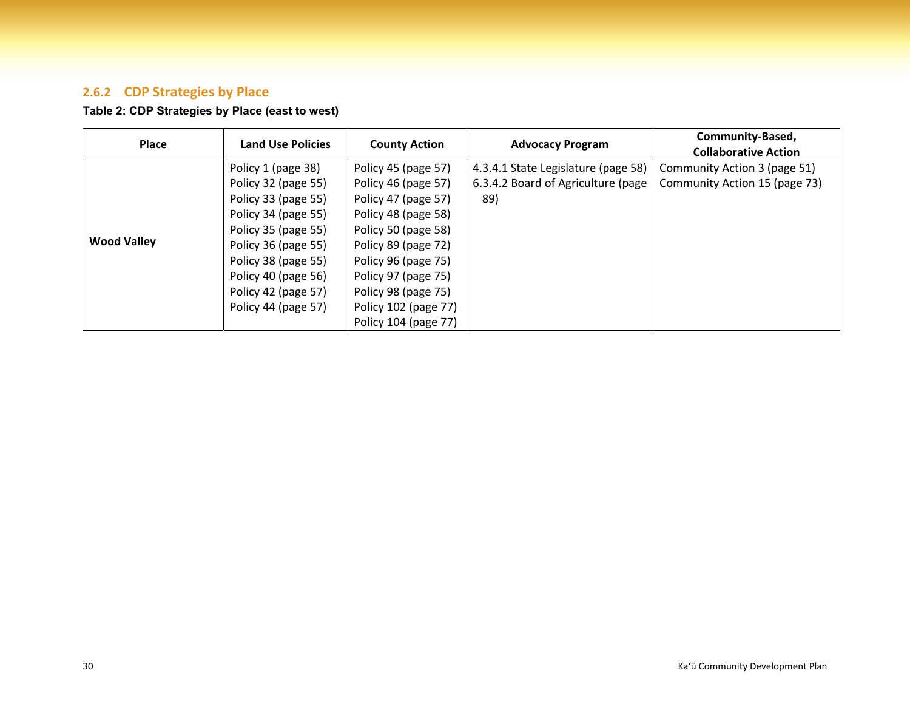#### **2.6.2 CDP Strategies by Place**

## **Table 2: CDP Strategies by Place (east to west)**

| <b>Place</b>       | <b>Land Use Policies</b> | <b>County Action</b> | <b>Advocacy Program</b>             | Community-Based,<br><b>Collaborative Action</b> |
|--------------------|--------------------------|----------------------|-------------------------------------|-------------------------------------------------|
|                    | Policy 1 (page 38)       | Policy 45 (page 57)  | 4.3.4.1 State Legislature (page 58) | Community Action 3 (page 51)                    |
|                    | Policy 32 (page 55)      | Policy 46 (page 57)  | 6.3.4.2 Board of Agriculture (page  | Community Action 15 (page 73)                   |
|                    | Policy 33 (page 55)      | Policy 47 (page 57)  | 89)                                 |                                                 |
|                    | Policy 34 (page 55)      | Policy 48 (page 58)  |                                     |                                                 |
|                    | Policy 35 (page 55)      | Policy 50 (page 58)  |                                     |                                                 |
| <b>Wood Valley</b> | Policy 36 (page 55)      | Policy 89 (page 72)  |                                     |                                                 |
|                    | Policy 38 (page 55)      | Policy 96 (page 75)  |                                     |                                                 |
|                    | Policy 40 (page 56)      | Policy 97 (page 75)  |                                     |                                                 |
|                    | Policy 42 (page 57)      | Policy 98 (page 75)  |                                     |                                                 |
|                    | Policy 44 (page 57)      | Policy 102 (page 77) |                                     |                                                 |
|                    |                          | Policy 104 (page 77) |                                     |                                                 |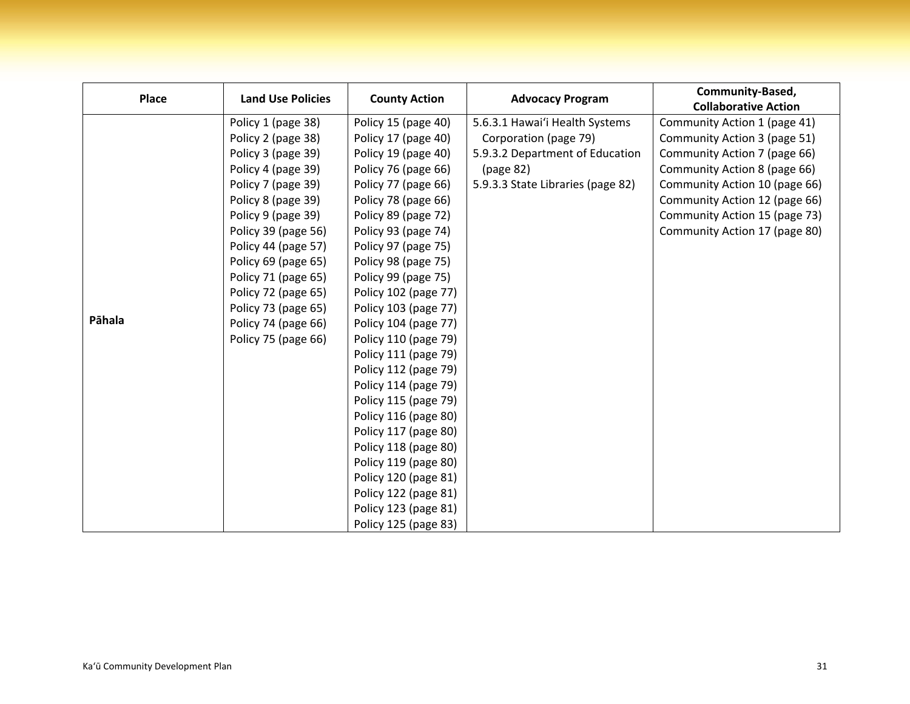| <b>Place</b> | <b>Land Use Policies</b> | <b>County Action</b> | <b>Advocacy Program</b>           | Community-Based,<br><b>Collaborative Action</b> |
|--------------|--------------------------|----------------------|-----------------------------------|-------------------------------------------------|
|              | Policy 1 (page 38)       | Policy 15 (page 40)  | 5.6.3.1 Hawai'i Health Systems    | Community Action 1 (page 41)                    |
|              | Policy 2 (page 38)       | Policy 17 (page 40)  | Corporation (page 79)             | Community Action 3 (page 51)                    |
|              | Policy 3 (page 39)       | Policy 19 (page 40)  | 5.9.3.2 Department of Education   | Community Action 7 (page 66)                    |
|              | Policy 4 (page 39)       | Policy 76 (page 66)  | (page 82)                         | Community Action 8 (page 66)                    |
|              | Policy 7 (page 39)       | Policy 77 (page 66)  | 5.9.3.3 State Libraries (page 82) | Community Action 10 (page 66)                   |
|              | Policy 8 (page 39)       | Policy 78 (page 66)  |                                   | Community Action 12 (page 66)                   |
|              | Policy 9 (page 39)       | Policy 89 (page 72)  |                                   | Community Action 15 (page 73)                   |
|              | Policy 39 (page 56)      | Policy 93 (page 74)  |                                   | Community Action 17 (page 80)                   |
|              | Policy 44 (page 57)      | Policy 97 (page 75)  |                                   |                                                 |
|              | Policy 69 (page 65)      | Policy 98 (page 75)  |                                   |                                                 |
|              | Policy 71 (page 65)      | Policy 99 (page 75)  |                                   |                                                 |
|              | Policy 72 (page 65)      | Policy 102 (page 77) |                                   |                                                 |
|              | Policy 73 (page 65)      | Policy 103 (page 77) |                                   |                                                 |
| Pāhala       | Policy 74 (page 66)      | Policy 104 (page 77) |                                   |                                                 |
|              | Policy 75 (page 66)      | Policy 110 (page 79) |                                   |                                                 |
|              |                          | Policy 111 (page 79) |                                   |                                                 |
|              |                          | Policy 112 (page 79) |                                   |                                                 |
|              |                          | Policy 114 (page 79) |                                   |                                                 |
|              |                          | Policy 115 (page 79) |                                   |                                                 |
|              |                          | Policy 116 (page 80) |                                   |                                                 |
|              |                          | Policy 117 (page 80) |                                   |                                                 |
|              |                          | Policy 118 (page 80) |                                   |                                                 |
|              |                          | Policy 119 (page 80) |                                   |                                                 |
|              |                          | Policy 120 (page 81) |                                   |                                                 |
|              |                          | Policy 122 (page 81) |                                   |                                                 |
|              |                          | Policy 123 (page 81) |                                   |                                                 |
|              |                          | Policy 125 (page 83) |                                   |                                                 |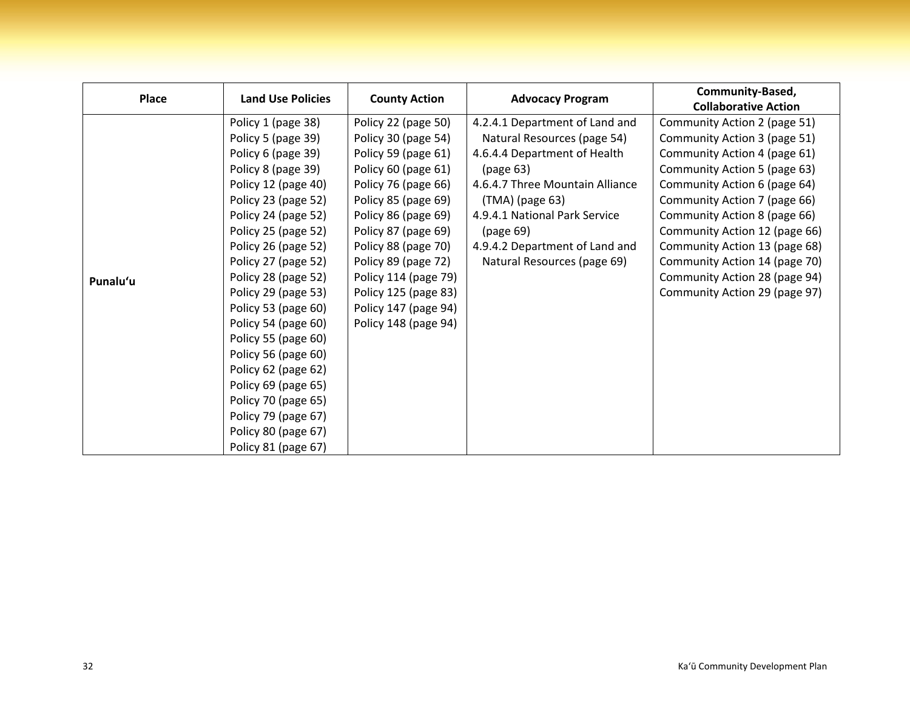| Place    | <b>Land Use Policies</b> | <b>County Action</b> | <b>Advocacy Program</b>         | Community-Based,              |
|----------|--------------------------|----------------------|---------------------------------|-------------------------------|
|          |                          |                      |                                 | <b>Collaborative Action</b>   |
|          | Policy 1 (page 38)       | Policy 22 (page 50)  | 4.2.4.1 Department of Land and  | Community Action 2 (page 51)  |
|          | Policy 5 (page 39)       | Policy 30 (page 54)  | Natural Resources (page 54)     | Community Action 3 (page 51)  |
|          | Policy 6 (page 39)       | Policy 59 (page 61)  | 4.6.4.4 Department of Health    | Community Action 4 (page 61)  |
|          | Policy 8 (page 39)       | Policy 60 (page 61)  | (page 63)                       | Community Action 5 (page 63)  |
|          | Policy 12 (page 40)      | Policy 76 (page 66)  | 4.6.4.7 Three Mountain Alliance | Community Action 6 (page 64)  |
|          | Policy 23 (page 52)      | Policy 85 (page 69)  | (TMA) (page 63)                 | Community Action 7 (page 66)  |
|          | Policy 24 (page 52)      | Policy 86 (page 69)  | 4.9.4.1 National Park Service   | Community Action 8 (page 66)  |
|          | Policy 25 (page 52)      | Policy 87 (page 69)  | (page 69)                       | Community Action 12 (page 66) |
|          | Policy 26 (page 52)      | Policy 88 (page 70)  | 4.9.4.2 Department of Land and  | Community Action 13 (page 68) |
|          | Policy 27 (page 52)      | Policy 89 (page 72)  | Natural Resources (page 69)     | Community Action 14 (page 70) |
| Punalu'u | Policy 28 (page 52)      | Policy 114 (page 79) |                                 | Community Action 28 (page 94) |
|          | Policy 29 (page 53)      | Policy 125 (page 83) |                                 | Community Action 29 (page 97) |
|          | Policy 53 (page 60)      | Policy 147 (page 94) |                                 |                               |
|          | Policy 54 (page 60)      | Policy 148 (page 94) |                                 |                               |
|          | Policy 55 (page 60)      |                      |                                 |                               |
|          | Policy 56 (page 60)      |                      |                                 |                               |
|          | Policy 62 (page 62)      |                      |                                 |                               |
|          | Policy 69 (page 65)      |                      |                                 |                               |
|          | Policy 70 (page 65)      |                      |                                 |                               |
|          | Policy 79 (page 67)      |                      |                                 |                               |
|          | Policy 80 (page 67)      |                      |                                 |                               |
|          | Policy 81 (page 67)      |                      |                                 |                               |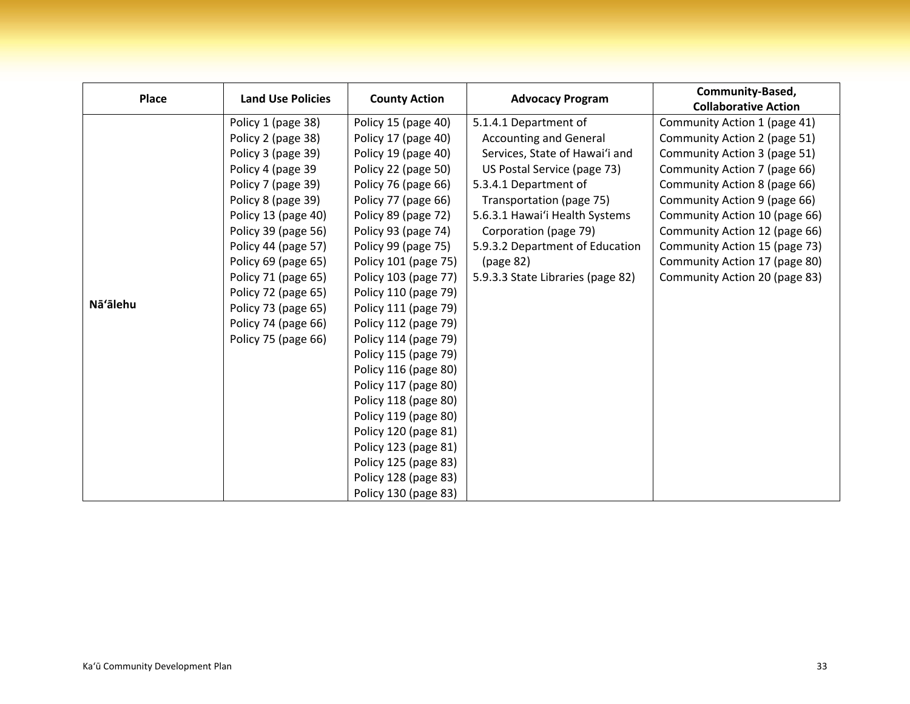| Place    | <b>Land Use Policies</b> | <b>County Action</b> | <b>Advocacy Program</b>           | Community-Based,              |
|----------|--------------------------|----------------------|-----------------------------------|-------------------------------|
|          |                          |                      |                                   | <b>Collaborative Action</b>   |
|          | Policy 1 (page 38)       | Policy 15 (page 40)  | 5.1.4.1 Department of             | Community Action 1 (page 41)  |
|          | Policy 2 (page 38)       | Policy 17 (page 40)  | <b>Accounting and General</b>     | Community Action 2 (page 51)  |
|          | Policy 3 (page 39)       | Policy 19 (page 40)  | Services, State of Hawai'i and    | Community Action 3 (page 51)  |
|          | Policy 4 (page 39        | Policy 22 (page 50)  | US Postal Service (page 73)       | Community Action 7 (page 66)  |
|          | Policy 7 (page 39)       | Policy 76 (page 66)  | 5.3.4.1 Department of             | Community Action 8 (page 66)  |
|          | Policy 8 (page 39)       | Policy 77 (page 66)  | Transportation (page 75)          | Community Action 9 (page 66)  |
|          | Policy 13 (page 40)      | Policy 89 (page 72)  | 5.6.3.1 Hawai'i Health Systems    | Community Action 10 (page 66) |
|          | Policy 39 (page 56)      | Policy 93 (page 74)  | Corporation (page 79)             | Community Action 12 (page 66) |
|          | Policy 44 (page 57)      | Policy 99 (page 75)  | 5.9.3.2 Department of Education   | Community Action 15 (page 73) |
|          | Policy 69 (page 65)      | Policy 101 (page 75) | (page 82)                         | Community Action 17 (page 80) |
|          | Policy 71 (page 65)      | Policy 103 (page 77) | 5.9.3.3 State Libraries (page 82) | Community Action 20 (page 83) |
|          | Policy 72 (page 65)      | Policy 110 (page 79) |                                   |                               |
| Nā'ālehu | Policy 73 (page 65)      | Policy 111 (page 79) |                                   |                               |
|          | Policy 74 (page 66)      | Policy 112 (page 79) |                                   |                               |
|          | Policy 75 (page 66)      | Policy 114 (page 79) |                                   |                               |
|          |                          | Policy 115 (page 79) |                                   |                               |
|          |                          | Policy 116 (page 80) |                                   |                               |
|          |                          | Policy 117 (page 80) |                                   |                               |
|          |                          | Policy 118 (page 80) |                                   |                               |
|          |                          | Policy 119 (page 80) |                                   |                               |
|          |                          | Policy 120 (page 81) |                                   |                               |
|          |                          | Policy 123 (page 81) |                                   |                               |
|          |                          | Policy 125 (page 83) |                                   |                               |
|          |                          | Policy 128 (page 83) |                                   |                               |
|          |                          | Policy 130 (page 83) |                                   |                               |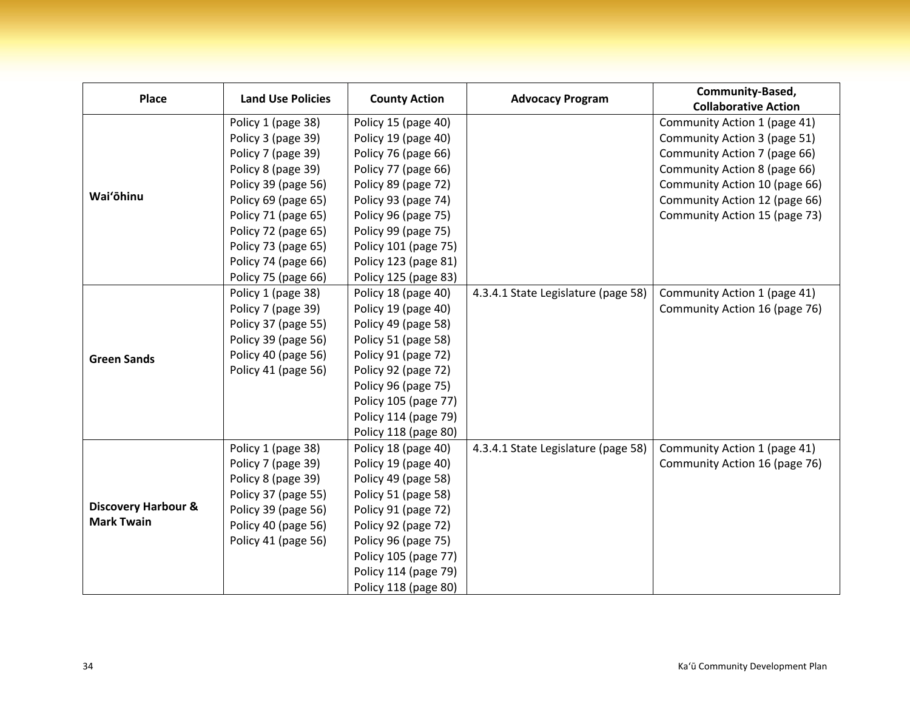| <b>Place</b>                                        | <b>Land Use Policies</b> | <b>County Action</b> | <b>Advocacy Program</b>             | Community-Based,              |
|-----------------------------------------------------|--------------------------|----------------------|-------------------------------------|-------------------------------|
|                                                     |                          |                      |                                     | <b>Collaborative Action</b>   |
|                                                     | Policy 1 (page 38)       | Policy 15 (page 40)  |                                     | Community Action 1 (page 41)  |
|                                                     | Policy 3 (page 39)       | Policy 19 (page 40)  |                                     | Community Action 3 (page 51)  |
|                                                     | Policy 7 (page 39)       | Policy 76 (page 66)  |                                     | Community Action 7 (page 66)  |
|                                                     | Policy 8 (page 39)       | Policy 77 (page 66)  |                                     | Community Action 8 (page 66)  |
|                                                     | Policy 39 (page 56)      | Policy 89 (page 72)  |                                     | Community Action 10 (page 66) |
| Wai'ōhinu                                           | Policy 69 (page 65)      | Policy 93 (page 74)  |                                     | Community Action 12 (page 66) |
|                                                     | Policy 71 (page 65)      | Policy 96 (page 75)  |                                     | Community Action 15 (page 73) |
|                                                     | Policy 72 (page 65)      | Policy 99 (page 75)  |                                     |                               |
|                                                     | Policy 73 (page 65)      | Policy 101 (page 75) |                                     |                               |
|                                                     | Policy 74 (page 66)      | Policy 123 (page 81) |                                     |                               |
|                                                     | Policy 75 (page 66)      | Policy 125 (page 83) |                                     |                               |
| <b>Green Sands</b>                                  | Policy 1 (page 38)       | Policy 18 (page 40)  | 4.3.4.1 State Legislature (page 58) | Community Action 1 (page 41)  |
|                                                     | Policy 7 (page 39)       | Policy 19 (page 40)  |                                     | Community Action 16 (page 76) |
|                                                     | Policy 37 (page 55)      | Policy 49 (page 58)  |                                     |                               |
|                                                     | Policy 39 (page 56)      | Policy 51 (page 58)  |                                     |                               |
|                                                     | Policy 40 (page 56)      | Policy 91 (page 72)  |                                     |                               |
|                                                     | Policy 41 (page 56)      | Policy 92 (page 72)  |                                     |                               |
|                                                     |                          | Policy 96 (page 75)  |                                     |                               |
|                                                     |                          | Policy 105 (page 77) |                                     |                               |
|                                                     |                          | Policy 114 (page 79) |                                     |                               |
|                                                     |                          | Policy 118 (page 80) |                                     |                               |
| <b>Discovery Harbour &amp;</b><br><b>Mark Twain</b> | Policy 1 (page 38)       | Policy 18 (page 40)  | 4.3.4.1 State Legislature (page 58) | Community Action 1 (page 41)  |
|                                                     | Policy 7 (page 39)       | Policy 19 (page 40)  |                                     | Community Action 16 (page 76) |
|                                                     | Policy 8 (page 39)       | Policy 49 (page 58)  |                                     |                               |
|                                                     | Policy 37 (page 55)      | Policy 51 (page 58)  |                                     |                               |
|                                                     | Policy 39 (page 56)      | Policy 91 (page 72)  |                                     |                               |
|                                                     | Policy 40 (page 56)      | Policy 92 (page 72)  |                                     |                               |
|                                                     | Policy 41 (page 56)      | Policy 96 (page 75)  |                                     |                               |
|                                                     |                          | Policy 105 (page 77) |                                     |                               |
|                                                     |                          | Policy 114 (page 79) |                                     |                               |
|                                                     |                          | Policy 118 (page 80) |                                     |                               |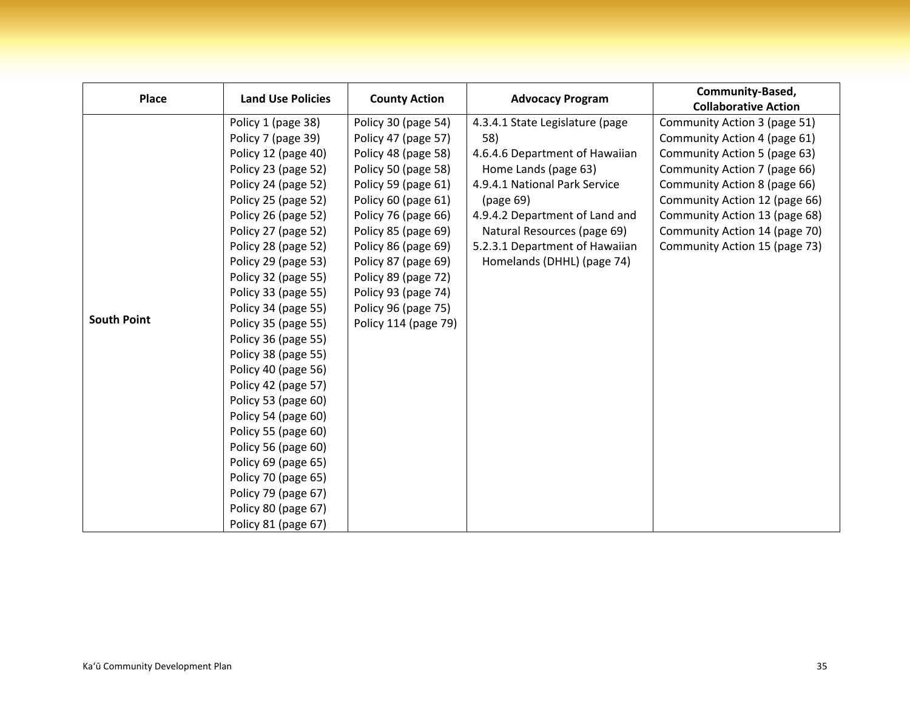| <b>Place</b>       | <b>Land Use Policies</b> | <b>County Action</b> | <b>Advocacy Program</b>         | Community-Based,              |
|--------------------|--------------------------|----------------------|---------------------------------|-------------------------------|
|                    |                          |                      |                                 | <b>Collaborative Action</b>   |
|                    | Policy 1 (page 38)       | Policy 30 (page 54)  | 4.3.4.1 State Legislature (page | Community Action 3 (page 51)  |
|                    | Policy 7 (page 39)       | Policy 47 (page 57)  | 58)                             | Community Action 4 (page 61)  |
|                    | Policy 12 (page 40)      | Policy 48 (page 58)  | 4.6.4.6 Department of Hawaiian  | Community Action 5 (page 63)  |
|                    | Policy 23 (page 52)      | Policy 50 (page 58)  | Home Lands (page 63)            | Community Action 7 (page 66)  |
|                    | Policy 24 (page 52)      | Policy 59 (page 61)  | 4.9.4.1 National Park Service   | Community Action 8 (page 66)  |
|                    | Policy 25 (page 52)      | Policy 60 (page 61)  | (page 69)                       | Community Action 12 (page 66) |
|                    | Policy 26 (page 52)      | Policy 76 (page 66)  | 4.9.4.2 Department of Land and  | Community Action 13 (page 68) |
|                    | Policy 27 (page 52)      | Policy 85 (page 69)  | Natural Resources (page 69)     | Community Action 14 (page 70) |
| <b>South Point</b> | Policy 28 (page 52)      | Policy 86 (page 69)  | 5.2.3.1 Department of Hawaiian  | Community Action 15 (page 73) |
|                    | Policy 29 (page 53)      | Policy 87 (page 69)  | Homelands (DHHL) (page 74)      |                               |
|                    | Policy 32 (page 55)      | Policy 89 (page 72)  |                                 |                               |
|                    | Policy 33 (page 55)      | Policy 93 (page 74)  |                                 |                               |
|                    | Policy 34 (page 55)      | Policy 96 (page 75)  |                                 |                               |
|                    | Policy 35 (page 55)      | Policy 114 (page 79) |                                 |                               |
|                    | Policy 36 (page 55)      |                      |                                 |                               |
|                    | Policy 38 (page 55)      |                      |                                 |                               |
|                    | Policy 40 (page 56)      |                      |                                 |                               |
|                    | Policy 42 (page 57)      |                      |                                 |                               |
|                    | Policy 53 (page 60)      |                      |                                 |                               |
|                    | Policy 54 (page 60)      |                      |                                 |                               |
|                    | Policy 55 (page 60)      |                      |                                 |                               |
|                    | Policy 56 (page 60)      |                      |                                 |                               |
|                    | Policy 69 (page 65)      |                      |                                 |                               |
|                    | Policy 70 (page 65)      |                      |                                 |                               |
|                    | Policy 79 (page 67)      |                      |                                 |                               |
|                    | Policy 80 (page 67)      |                      |                                 |                               |
|                    | Policy 81 (page 67)      |                      |                                 |                               |